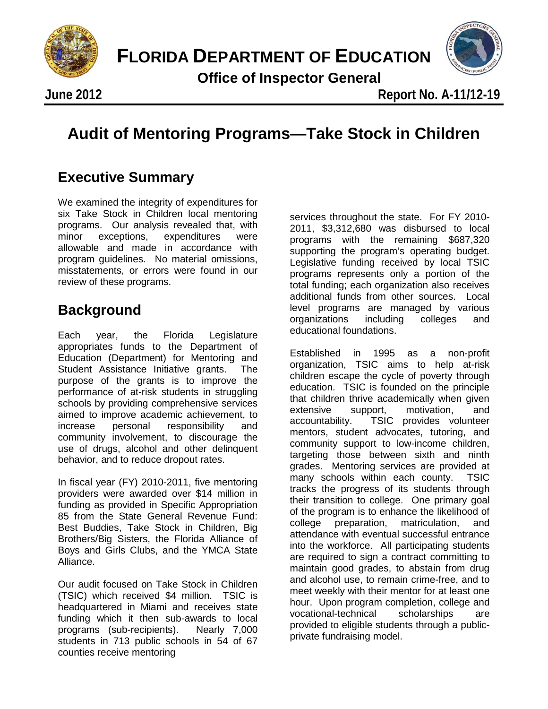

**FLORIDA DEPARTMENT OF EDUCATION**

 **Office of Inspector General**



**June 2012** 

# Audit of Mentoring Programs-Take Stock in C **Audit of Mentoring Programs—Take Stock in Children**

### **Executive Summary**

We examined the integrity of expenditures for six Take Stock in Children local mentoring programs. Our analysis revealed that, with<br>minor exceptions. expenditures were exceptions, expenditures were allowable and made in accordance with program guidelines. No material omissions, misstatements, or errors were found in our review of these programs.

### **Background**

Each year, the Florida Legislature appropriates funds to the Department of Education (Department) for Mentoring and Student Assistance Initiative grants. The purpose of the grants is to improve the performance of at-risk students in struggling schools by providing comprehensive services aimed to improve academic achievement, to increase personal responsibility and community involvement, to discourage the use of drugs, alcohol and other delinquent behavior, and to reduce dropout rates.

In fiscal year (FY) 2010-2011, five mentoring providers were awarded over \$14 million in funding as provided in Specific Appropriation 85 from the State General Revenue Fund: Best Buddies, Take Stock in Children, Big Brothers/Big Sisters, the Florida Alliance of Boys and Girls Clubs, and the YMCA State Alliance.

Our audit focused on Take Stock in Children (TSIC) which received \$4 million. TSIC is headquartered in Miami and receives state funding which it then sub-awards to local programs (sub-recipients). Nearly 7,000 students in 713 public schools in 54 of 67 counties receive mentoring

services throughout the state. For FY 2010- 2011, \$3,312,680 was disbursed to local programs with the remaining \$687,320 supporting the program's operating budget. Legislative funding received by local TSIC programs represents only a portion of the total funding; each organization also receives additional funds from other sources. Local level programs are managed by various organizations including colleges and educational foundations.

Established in 1995 as a non-profit organization, TSIC aims to help at-risk children escape the cycle of poverty through education. TSIC is founded on the principle that children thrive academically when given extensive support, motivation, and accountability. TSIC provides volunteer mentors, student advocates, tutoring, and community support to low-income children, targeting those between sixth and ninth grades. Mentoring services are provided at many schools within each county. TSIC tracks the progress of its students through their transition to college. One primary goal of the program is to enhance the likelihood of college preparation, matriculation, and attendance with eventual successful entrance into the workforce. All participating students are required to sign a contract committing to maintain good grades, to abstain from drug and alcohol use, to remain crime-free, and to meet weekly with their mentor for at least one hour. Upon program completion, college and vocational-technical scholarships are provided to eligible students through a publicprivate fundraising model.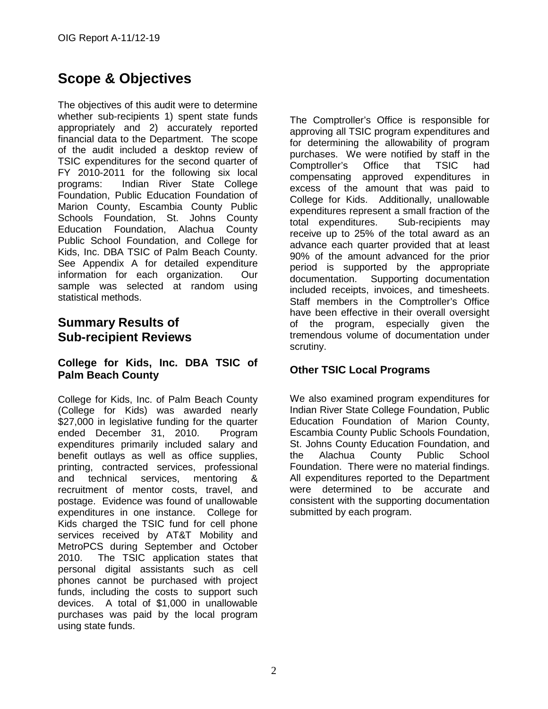## **Scope & Objectives**

The objectives of this audit were to determine whether sub-recipients 1) spent state funds appropriately and 2) accurately reported financial data to the Department. The scope of the audit included a desktop review of TSIC expenditures for the second quarter of FY 2010-2011 for the following six local programs: Indian River State College Foundation, Public Education Foundation of Marion County, Escambia County Public Schools Foundation, St. Johns County Education Foundation, Alachua County Public School Foundation, and College for Kids, Inc. DBA TSIC of Palm Beach County. See Appendix A for detailed expenditure information for each organization. Our sample was selected at random using statistical methods.

### **Summary Results of Sub-recipient Reviews**

#### **College for Kids, Inc. DBA TSIC of Palm Beach County**

College for Kids, Inc. of Palm Beach County (College for Kids) was awarded nearly \$27,000 in legislative funding for the quarter ended December 31, 2010. Program expenditures primarily included salary and benefit outlays as well as office supplies, printing, contracted services, professional and technical services, mentoring & recruitment of mentor costs, travel, and postage. Evidence was found of unallowable expenditures in one instance. College for Kids charged the TSIC fund for cell phone services received by AT&T Mobility and MetroPCS during September and October 2010. The TSIC application states that personal digital assistants such as cell phones cannot be purchased with project funds, including the costs to support such devices. A total of \$1,000 in unallowable purchases was paid by the local program using state funds.

The Comptroller's Office is responsible for approving all TSIC program expenditures and for determining the allowability of program purchases. We were notified by staff in the Comptroller's Office that TSIC had compensating approved expenditures in excess of the amount that was paid to College for Kids. Additionally, unallowable expenditures represent a small fraction of the total expenditures. Sub-recipients may receive up to 25% of the total award as an advance each quarter provided that at least 90% of the amount advanced for the prior period is supported by the appropriate documentation. Supporting documentation included receipts, invoices, and timesheets. Staff members in the Comptroller's Office have been effective in their overall oversight of the program, especially given the tremendous volume of documentation under scrutiny.

#### **Other TSIC Local Programs**

We also examined program expenditures for Indian River State College Foundation, Public Education Foundation of Marion County, Escambia County Public Schools Foundation, St. Johns County Education Foundation, and the Alachua County Public School Foundation. There were no material findings. All expenditures reported to the Department were determined to be accurate and consistent with the supporting documentation submitted by each program.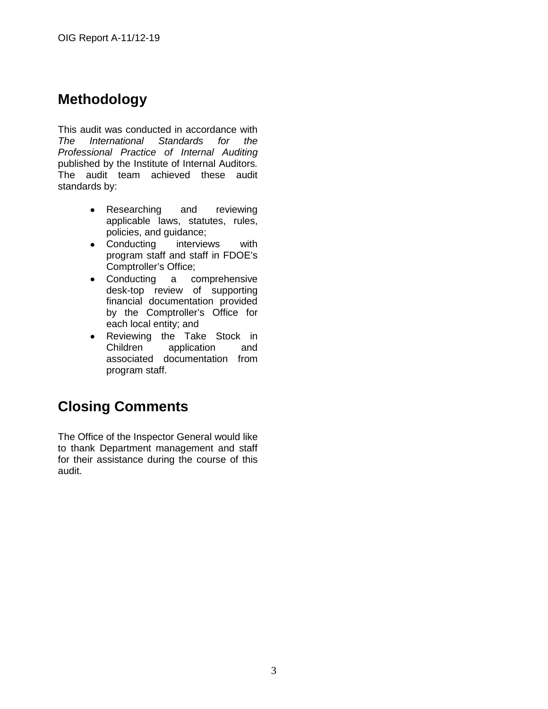### **Methodology**

This audit was conducted in accordance with *The International Standards for the Professional Practice of Internal Auditing* published by the Institute of Internal Auditors*.*  The audit team achieved these audit standards by:

- Researching and reviewing applicable laws, statutes, rules, policies, and guidance;
- Conducting interviews with program staff and staff in FDOE's Comptroller's Office;
- Conducting a comprehensive desk-top review of supporting financial documentation provided by the Comptroller's Office for each local entity; and
- Reviewing the Take Stock in Children application and associated documentation from program staff.

### **Closing Comments**

The Office of the Inspector General would like to thank Department management and staff for their assistance during the course of this audit.